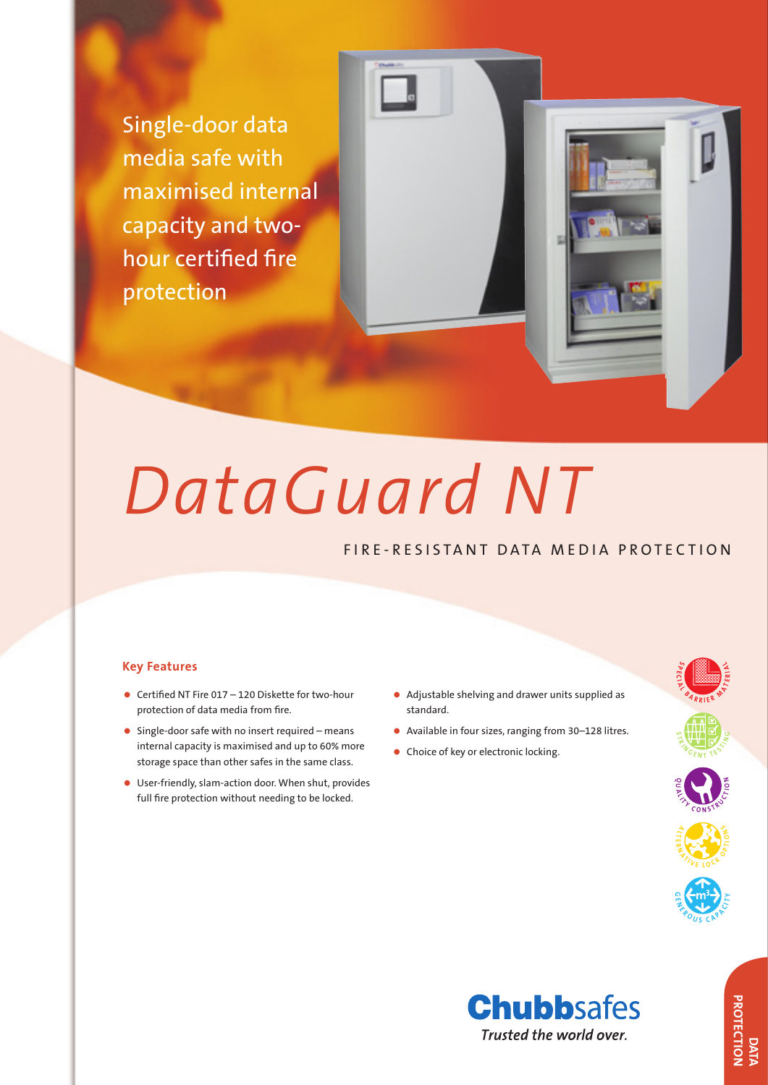Single-door data media safe with maximised internal capacity and twohour certified fire protection

# *DataGuard NT*

# FIRE-RESISTANT DATA MEDIA PROTECTION

### **Key Features**

- Certified NT Fire 017 120 Diskette for two-hour protection of data media from fire.
- $\bullet$  Single-door safe with no insert required means internal capacity is maximised and up to 60% more storage space than other safes in the same class.
- • User-friendly, slam-action door. When shut, provides full fire protection without needing to be locked.
- • Adjustable shelving and drawer units supplied as standard.
- Available in four sizes, ranging from 30–128 litres.
- Choice of key or electronic locking.



**DATA**<br>PROTECTION **PROTECTION**